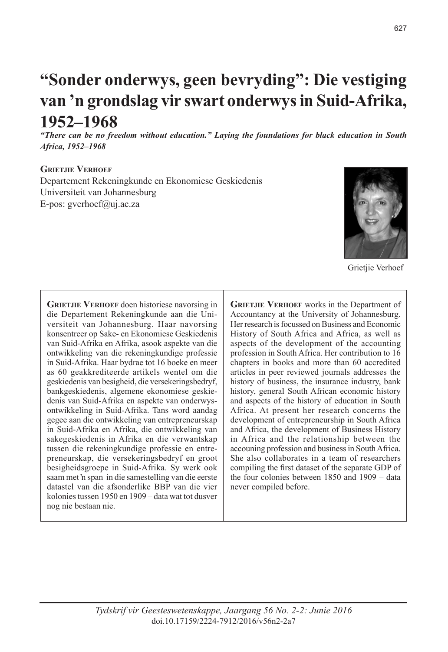# **"Sonder onderwys, geen bevryding": Die vestiging van 'n grondslag vir swart onderwys in Suid-Afrika, 1952–1968**

*"There can be no freedom without education." Laying the foundations for black education in South Africa, 1952–1968*

#### **Grietjie Verhoef**

Departement Rekeningkunde en Ekonomiese Geskiedenis Universiteit van Johannesburg E-pos: gverhoef@uj.ac.za



Grietjie Verhoef

**GRIETJIE VERHOEF** doen historiese navorsing in die Departement Rekeningkunde aan die Universiteit van Johannesburg. Haar navorsing konsentreer op Sake- en Ekonomiese Geskiedenis van Suid-Afrika en Afrika, asook aspekte van die ontwikkeling van die rekeningkundige professie in Suid-Afrika. Haar bydrae tot 16 boeke en meer as 60 geakkrediteerde artikels wentel om die geskiedenis van besigheid, die versekeringsbedryf, bankgeskiedenis, algemene ekonomiese geskiedenis van Suid-Afrika en aspekte van onderwysontwikkeling in Suid-Afrika. Tans word aandag gegee aan die ontwikkeling van entrepreneurskap in Suid-Afrika en Afrika, die ontwikkeling van sakegeskiedenis in Afrika en die verwantskap tussen die rekeningkundige professie en entrepreneurskap, die versekeringsbedryf en groot besigheidsgroepe in Suid-Afrika. Sy werk ook saam met 'n span in die samestelling van die eerste datastel van die afsonderlike BBP van die vier kolonies tussen 1950 en 1909 – data wat tot dusver nog nie bestaan nie.

**GRIETJIE VERHOEF** works in the Department of Accountancy at the University of Johannesburg. Her research is focussed on Business and Economic History of South Africa and Africa, as well as aspects of the development of the accounting profession in South Africa. Her contribution to 16 chapters in books and more than 60 accredited articles in peer reviewed journals addresses the history of business, the insurance industry, bank history, general South African economic history and aspects of the history of education in South Africa. At present her research concerns the development of entrepreneurship in South Africa and Africa, the development of Business History in Africa and the relationship between the accouning profession and business in South Africa. She also collaborates in a team of researchers compiling the first dataset of the separate GDP of the four colonies between 1850 and 1909 – data never compiled before.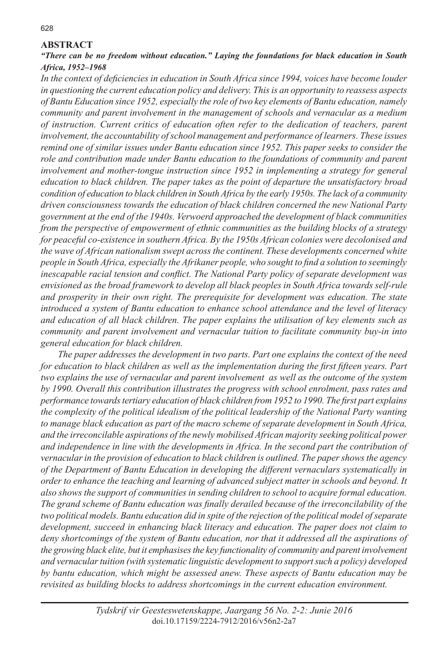#### **ABSTRACT**

#### *"There can be no freedom without education." Laying the foundations for black education in South Africa, 1952–1968*

*In the context of deficiencies in education in South Africa since 1994, voices have become louder in questioning the current education policy and delivery. This is an opportunity to reassess aspects of Bantu Education since 1952, especially the role of two key elements of Bantu education, namely community and parent involvement in the management of schools and vernacular as a medium of instruction. Current critics of education often refer to the dedication of teachers, parent involvement, the accountability of school management and performance of learners. These issues remind one of similar issues under Bantu education since 1952. This paper seeks to consider the role and contribution made under Bantu education to the foundations of community and parent involvement and mother-tongue instruction since 1952 in implementing a strategy for general education to black children. The paper takes as the point of departure the unsatisfactory broad condition of education to black children in South Africa by the early 1950s. The lack of a community driven consciousness towards the education of black children concerned the new National Party government at the end of the 1940s. Verwoerd approached the development of black communities from the perspective of empowerment of ethnic communities as the building blocks of a strategy for peaceful co-existence in southern Africa. By the 1950s African colonies were decolonised and the wave of African nationalism swept across the continent. These developments concerned white people in South Africa, especially the Afrikaner people, who sought to find a solution to seemingly inescapable racial tension and conflict. The National Party policy of separate development was envisioned as the broad framework to develop all black peoples in South Africa towards self-rule and prosperity in their own right. The prerequisite for development was education. The state introduced a system of Bantu education to enhance school attendance and the level of literacy and education of all black children. The paper explains the utilisation of key elements such as community and parent involvement and vernacular tuition to facilitate community buy-in into general education for black children.* 

*The paper addresses the development in two parts. Part one explains the context of the need for education to black children as well as the implementation during the first fifteen years. Part two explains the use of vernacular and parent involvement as well as the outcome of the system by 1990. Overall this contribution illustrates the progress with school enrolment, pass rates and performance towards tertiary education of black children from 1952 to 1990. The first part explains the complexity of the political idealism of the political leadership of the National Party wanting to manage black education as part of the macro scheme of separate development in South Africa, and the irreconcilable aspirations of the newly mobilised African majority seeking political power and independence in line with the developments in Africa. In the second part the contribution of vernacular in the provision of education to black children is outlined. The paper shows the agency of the Department of Bantu Education in developing the different vernaculars systematically in order to enhance the teaching and learning of advanced subject matter in schools and beyond. It also shows the support of communities in sending children to school to acquire formal education. The grand scheme of Bantu education was finally derailed because of the irreconcilability of the two political models. Bantu education did in spite of the rejection of the political model of separate development, succeed in enhancing black literacy and education. The paper does not claim to deny shortcomings of the system of Bantu education, nor that it addressed all the aspirations of*  the growing black elite, but it emphasises the key functionality of community and parent involvement *and vernacular tuition (with systematic linguistic development to support such a policy) developed by bantu education, which might be assessed anew. These aspects of Bantu education may be revisited as building blocks to address shortcomings in the current education environment.*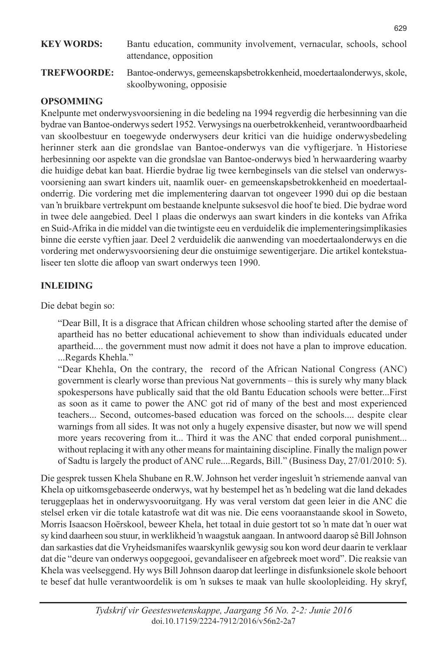# **KEY WORDS:** Bantu education, community involvement, vernacular, schools, school attendance, opposition

**TREFWOORDE:** Bantoe-onderwys, gemeenskapsbetrokkenheid, moedertaalonderwys, skole, skoolbywoning, opposisie

#### **OPSOMMING**

Knelpunte met onderwysvoorsiening in die bedeling na 1994 regverdig die herbesinning van die bydrae van Bantoe-onderwys sedert 1952. Verwysings na ouerbetrokkenheid, verantwoordbaarheid van skoolbestuur en toegewyde onderwysers deur kritici van die huidige onderwysbedeling herinner sterk aan die grondslae van Bantoe-onderwys van die vyftigerjare. 'n Historiese herbesinning oor aspekte van die grondslae van Bantoe-onderwys bied 'n herwaardering waarby die huidige debat kan baat. Hierdie bydrae lig twee kernbeginsels van die stelsel van onderwysvoorsiening aan swart kinders uit, naamlik ouer- en gemeenskapsbetrokkenheid en moedertaalonderrig. Die vordering met die implementering daarvan tot ongeveer 1990 dui op die bestaan van 'n bruikbare vertrekpunt om bestaande knelpunte suksesvol die hoof te bied. Die bydrae word in twee dele aangebied. Deel 1 plaas die onderwys aan swart kinders in die konteks van Afrika en Suid-Afrika in die middel van die twintigste eeu en verduidelik die implementeringsimplikasies binne die eerste vyftien jaar. Deel 2 verduidelik die aanwending van moedertaalonderwys en die vordering met onderwysvoorsiening deur die onstuimige sewentigerjare. Die artikel kontekstualiseer ten slotte die afloop van swart onderwys teen 1990.

#### **INLEIDING**

Die debat begin so:

"Dear Bill, It is a disgrace that African children whose schooling started after the demise of apartheid has no better educational achievement to show than individuals educated under apartheid.... the government must now admit it does not have a plan to improve education. ...Regards Khehla."

"Dear Khehla, On the contrary, the record of the African National Congress (ANC) government is clearly worse than previous Nat governments – this is surely why many black spokespersons have publically said that the old Bantu Education schools were better...First as soon as it came to power the ANC got rid of many of the best and most experienced teachers... Second, outcomes-based education was forced on the schools.... despite clear warnings from all sides. It was not only a hugely expensive disaster, but now we will spend more years recovering from it... Third it was the ANC that ended corporal punishment... without replacing it with any other means for maintaining discipline. Finally the malign power of Sadtu is largely the product of ANC rule....Regards, Bill." (Business Day, 27/01/2010: 5).

Die gesprek tussen Khela Shubane en R.W. Johnson het verder ingesluit 'n striemende aanval van Khela op uitkomsgebaseerde onderwys, wat hy bestempel het as 'n bedeling wat die land dekades teruggeplaas het in onderwysvooruitgang. Hy was veral verstom dat geen leier in die ANC die stelsel erken vir die totale katastrofe wat dit was nie. Die eens vooraanstaande skool in Soweto, Morris Isaacson Hoërskool, beweer Khela, het totaal in duie gestort tot so 'n mate dat 'n ouer wat sy kind daarheen sou stuur, in werklikheid 'n waagstuk aangaan. In antwoord daarop sê Bill Johnson dan sarkasties dat die Vryheidsmanifes waarskynlik gewysig sou kon word deur daarin te verklaar dat die "deure van onderwys oopgegooi, gevandaliseer en afgebreek moet word". Die reaksie van Khela was veelseggend. Hy wys Bill Johnson daarop dat leerlinge in disfunksionele skole behoort te besef dat hulle verantwoordelik is om 'n sukses te maak van hulle skoolopleiding. Hy skryf,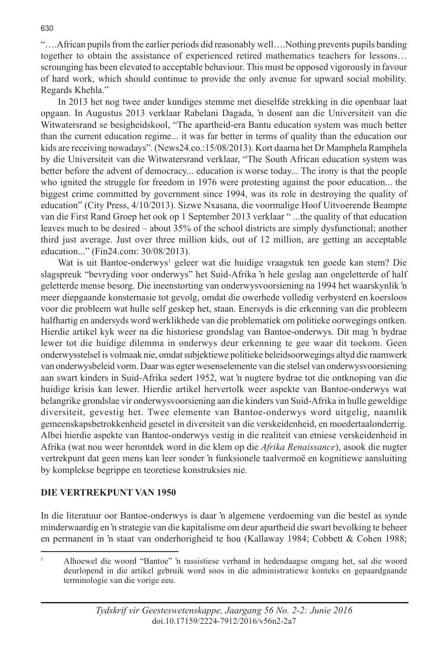"….African pupils from the earlier periods did reasonably well….Nothing prevents pupils banding together to obtain the assistance of experienced retired mathematics teachers for lessons… scrounging has been elevated to acceptable behaviour. This must be opposed vigorously in favour of hard work, which should continue to provide the only avenue for upward social mobility. Regards Khehla."

In 2013 het nog twee ander kundiges stemme met dieselfde strekking in die openbaar laat opgaan. In Augustus 2013 verklaar Rabelani Dagada, 'n dosent aan die Universiteit van die Witwatersrand se besigheidskool, "The apartheid-era Bantu education system was much better than the current education regime... it was far better in terms of quality than the education our kids are receiving nowadays". (News24.co.:15/08/2013). Kort daarna het Dr Mamphela Ramphela by die Universiteit van die Witwatersrand verklaar, "The South African education system was better before the advent of democracy... education is worse today... The irony is that the people who ignited the struggle for freedom in 1976 were protesting against the poor education... the biggest crime committed by government since 1994, was its role in destroying the quality of education" (City Press, 4/10/2013). Sizwe Nxasana, die voormalige Hoof Uitvoerende Beampte van die First Rand Groep het ook op 1 September 2013 verklaar " ...the quality of that education leaves much to be desired – about 35% of the school districts are simply dysfunctional; another third just average. Just over three million kids, out of 12 million, are getting an acceptable education..." (Fin24.com: 30/08/2013).

Wat is uit Bantoe-onderwys<sup>1</sup> geleer wat die huidige vraagstuk ten goede kan stem? Die slagspreuk "bevryding voor onderwys" het Suid-Afrika 'n hele geslag aan ongeletterde of half geletterde mense besorg. Die ineenstorting van onderwysvoorsiening na 1994 het waarskynlik 'n meer diepgaande konsternasie tot gevolg, omdat die owerhede volledig verbysterd en koersloos voor die probleem wat hulle self geskep het, staan. Enersyds is die erkenning van die probleem halfhartig en andersyds word werklikhede van die problematiek om politieke oorwegings ontken. Hierdie artikel kyk weer na die historiese grondslag van Bantoe-onderwys. Dit mag 'n bydrae lewer tot die huidige dilemma in onderwys deur erkenning te gee waar dit toekom. Geen onderwysstelsel is volmaak nie, omdat subjektiewe politieke beleidsoorwegings altyd die raamwerk van onderwysbeleid vorm. Daar was egter wesenselemente van die stelsel van onderwysvoorsiening aan swart kinders in Suid-Afrika sedert 1952, wat 'n nugtere bydrae tot die ontknoping van die huidige krisis kan lewer. Hierdie artikel hervertolk weer aspekte van Bantoe-onderwys wat belangrike grondslae vir onderwysvoorsiening aan die kinders van Suid-Afrika in hulle geweldige diversiteit, gevestig het. Twee elemente van Bantoe-onderwys word uitgelig, naamlik gemeenskapsbetrokkenheid gesetel in diversiteit van die verskeidenheid, en moedertaalonderrig. Albei hierdie aspekte van Bantoe-onderwys vestig in die realiteit van etniese verskeidenheid in Afrika (wat nou weer herontdek word in die klem op die *Afrika Renaissance*), asook die nugter vertrekpunt dat geen mens kan leer sonder 'n funksionele taalvermoë en kognitiewe aansluiting by komplekse begrippe en teoretiese konstruksies nie.

#### **DIE VERTREKPUNT VAN 1950**

In die literatuur oor Bantoe-onderwys is daar 'n algemene verdoeming van die bestel as synde minderwaardig en 'n strategie van die kapitalisme om deur apartheid die swart bevolking te beheer en permanent in 'n staat van onderhorigheid te hou (Kallaway 1984; Cobbett & Cohen 1988;

<sup>1</sup> Alhoewel die woord "Bantoe" 'n rassistiese verband in hedendaagse omgang het, sal die woord deurlopend in die artikel gebruik word soos in die administratiewe konteks en gepaardgaande terminologie van die vorige eeu.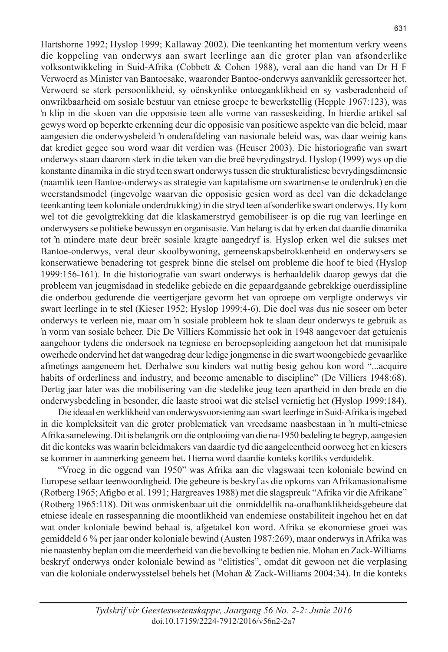Hartshorne 1992; Hyslop 1999; Kallaway 2002). Die teenkanting het momentum verkry weens die koppeling van onderwys aan swart leerlinge aan die groter plan van afsonderlike volksontwikkeling in Suid-Afrika (Cobbett & Cohen 1988), veral aan die hand van Dr H F Verwoerd as Minister van Bantoesake, waaronder Bantoe-onderwys aanvanklik geressorteer het. Verwoerd se sterk persoonlikheid, sy oënskynlike ontoeganklikheid en sy vasberadenheid of onwrikbaarheid om sosiale bestuur van etniese groepe te bewerkstellig (Hepple 1967:123), was 'n klip in die skoen van die opposisie teen alle vorme van rasseskeiding. In hierdie artikel sal gewys word op beperkte erkenning deur die opposisie van positiewe aspekte van die beleid, maar aangesien die onderwysbeleid 'n onderafdeling van nasionale beleid was, was daar weinig kans dat krediet gegee sou word waar dit verdien was (Heuser 2003). Die historiografie van swart onderwys staan daarom sterk in die teken van die breë bevrydingstryd. Hyslop (1999) wys op die konstante dinamika in die stryd teen swart onderwys tussen die strukturalistiese bevrydingsdimensie (naamlik teen Bantoe-onderwys as strategie van kapitalisme om swartmense te onderdruk) en die weerstandsmodel (ingevolge waarvan die opposisie gesien word as deel van die dekadelange teenkanting teen koloniale onderdrukking) in die stryd teen afsonderlike swart onderwys. Hy kom wel tot die gevolgtrekking dat die klaskamerstryd gemobiliseer is op die rug van leerlinge en onderwysers se politieke bewussyn en organisasie. Van belang is dat hy erken dat daardie dinamika tot 'n mindere mate deur breër sosiale kragte aangedryf is. Hyslop erken wel die sukses met Bantoe-onderwys, veral deur skoolbywoning, gemeenskapsbetrokkenheid en onderwysers se konserwatiewe benadering tot gesprek binne die stelsel om probleme die hoof te bied (Hyslop 1999:156-161). In die historiografie van swart onderwys is herhaaldelik daarop gewys dat die probleem van jeugmisdaad in stedelike gebiede en die gepaardgaande gebrekkige ouerdissipline die onderbou gedurende die veertigerjare gevorm het van oproepe om verpligte onderwys vir swart leerlinge in te stel (Kieser 1952; Hyslop 1999:4-6). Die doel was dus nie soseer om beter onderwys te verleen nie, maar om 'n sosiale probleem hok te slaan deur onderwys te gebruik as 'n vorm van sosiale beheer. Die De Villiers Kommissie het ook in 1948 aangevoer dat getuienis aangehoor tydens die ondersoek na tegniese en beroepsopleiding aangetoon het dat munisipale owerhede ondervind het dat wangedrag deur ledige jongmense in die swart woongebiede gevaarlike afmetings aangeneem het. Derhalwe sou kinders wat nuttig besig gehou kon word "...acquire habits of orderliness and industry, and become amenable to discipline" (De Villiers 1948:68). Dertig jaar later was die mobilisering van die stedelike jeug teen apartheid in den brede en die onderwysbedeling in besonder, die laaste strooi wat die stelsel vernietig het (Hyslop 1999:184).

Die ideaal en werklikheid van onderwysvoorsiening aan swart leerlinge in Suid-Afrika is ingebed in die kompleksiteit van die groter problematiek van vreedsame naasbestaan in 'n multi-etniese Afrika samelewing. Dit is belangrik om die ontplooiing van die na-1950 bedeling te begryp, aangesien dit die konteks was waarin beleidmakers van daardie tyd die aangeleentheid oorweeg het en kiesers se kommer in aanmerking geneem het. Hierna word daardie konteks kortliks verduidelik.

"Vroeg in die oggend van 1950" was Afrika aan die vlagswaai teen koloniale bewind en Europese setlaar teenwoordigheid. Die gebeure is beskryf as die opkoms van Afrikanasionalisme (Rotberg 1965; Afigbo et al. 1991; Hargreaves 1988) met die slagspreuk "Afrika vir die Afrikane" (Rotberg 1965:118). Dit was onmiskenbaar uit die onmiddellik na-onafhanklikheidsgebeure dat etniese ideale en rassespanning die moontlikheid van endemiese onstabiliteit ingehou het en dat wat onder koloniale bewind behaal is, afgetakel kon word. Afrika se ekonomiese groei was gemiddeld 6 % per jaar onder koloniale bewind (Austen 1987:269), maar onderwys in Afrika was nie naastenby beplan om die meerderheid van die bevolking te bedien nie. Mohan en Zack-Williams beskryf onderwys onder koloniale bewind as "elitisties", omdat dit gewoon net die verplasing van die koloniale onderwysstelsel behels het (Mohan & Zack-Williams 2004:34). In die konteks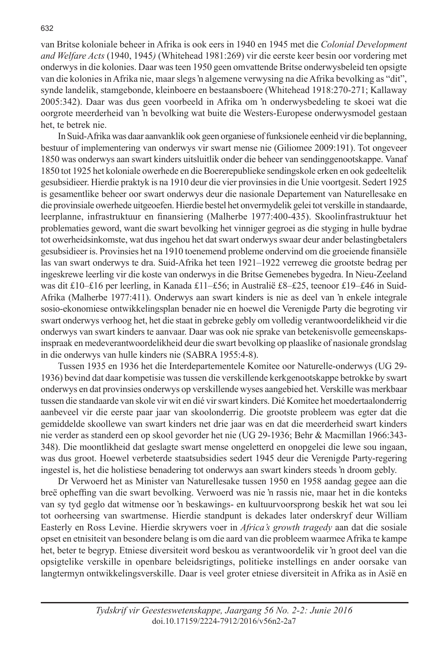van Britse koloniale beheer in Afrika is ook eers in 1940 en 1945 met die *Colonial Development and Welfare Acts* (1940, 1945*)* (Whitehead 1981:269) vir die eerste keer besin oor vordering met onderwys in die kolonies. Daar was teen 1950 geen omvattende Britse onderwysbeleid ten opsigte van die kolonies in Afrika nie, maar slegs 'n algemene verwysing na die Afrika bevolking as "dit", synde landelik, stamgebonde, kleinboere en bestaansboere (Whitehead 1918:270-271; Kallaway 2005:342). Daar was dus geen voorbeeld in Afrika om 'n onderwysbedeling te skoei wat die oorgrote meerderheid van 'n bevolking wat buite die Westers-Europese onderwysmodel gestaan het, te betrek nie.

In Suid-Afrika was daar aanvanklik ook geen organiese of funksionele eenheid vir die beplanning, bestuur of implementering van onderwys vir swart mense nie (Giliomee 2009:191). Tot ongeveer 1850 was onderwys aan swart kinders uitsluitlik onder die beheer van sendinggenootskappe. Vanaf 1850 tot 1925 het koloniale owerhede en die Boererepublieke sendingskole erken en ook gedeeltelik gesubsidieer. Hierdie praktyk is na 1910 deur die vier provinsies in die Unie voortgesit. Sedert 1925 is gesamentlike beheer oor swart onderwys deur die nasionale Departement van Naturellesake en die provinsiale owerhede uitgeoefen. Hierdie bestel het onvermydelik gelei tot verskille in standaarde, leerplanne, infrastruktuur en finansiering (Malherbe 1977:400-435). Skoolinfrastruktuur het problematies geword, want die swart bevolking het vinniger gegroei as die styging in hulle bydrae tot owerheidsinkomste, wat dus ingehou het dat swart onderwys swaar deur ander belastingbetalers gesubsidieer is. Provinsies het na 1910 toenemend probleme ondervind om die groeiende finansiële las van swart onderwys te dra. Suid-Afrika het teen 1921–1922 verreweg die grootste bedrag per ingeskrewe leerling vir die koste van onderwys in die Britse Gemenebes bygedra. In Nieu-Zeeland was dit £10–£16 per leerling, in Kanada £11–£56; in Australië £8–£25, teenoor £19–£46 in Suid-Afrika (Malherbe 1977:411). Onderwys aan swart kinders is nie as deel van 'n enkele integrale sosio-ekonomiese ontwikkelingsplan benader nie en hoewel die Verenigde Party die begroting vir swart onderwys verhoog het, het die staat in gebreke gebly om volledig verantwoordelikheid vir die onderwys van swart kinders te aanvaar. Daar was ook nie sprake van betekenisvolle gemeenskapsinspraak en medeverantwoordelikheid deur die swart bevolking op plaaslike of nasionale grondslag in die onderwys van hulle kinders nie (SABRA 1955:4-8).

Tussen 1935 en 1936 het die Interdepartementele Komitee oor Naturelle-onderwys (UG 29- 1936) bevind dat daar kompetisie was tussen die verskillende kerkgenootskappe betrokke by swart onderwys en dat provinsies onderwys op verskillende wyses aangebied het. Verskille was merkbaar tussen die standaarde van skole vir wit en dié vir swart kinders. Dié Komitee het moedertaalonderrig aanbeveel vir die eerste paar jaar van skoolonderrig. Die grootste probleem was egter dat die gemiddelde skoollewe van swart kinders net drie jaar was en dat die meerderheid swart kinders nie verder as standerd een op skool gevorder het nie (UG 29-1936; Behr & Macmillan 1966:343- 348). Die moontlikheid dat geslagte swart mense ongeletterd en onopgelei die lewe sou ingaan, was dus groot. Hoewel verbeterde staatsubsidies sedert 1945 deur die Verenigde Party-regering ingestel is, het die holistiese benadering tot onderwys aan swart kinders steeds 'n droom gebly.

Dr Verwoerd het as Minister van Naturellesake tussen 1950 en 1958 aandag gegee aan die breë opheffing van die swart bevolking. Verwoerd was nie 'n rassis nie, maar het in die konteks van sy tyd geglo dat witmense oor 'n beskawings- en kultuurvoorsprong beskik het wat sou lei tot oorheersing van swartmense. Hierdie standpunt is dekades later onderskryf deur William Easterly en Ross Levine. Hierdie skrywers voer in *Africa's growth tragedy* aan dat die sosiale opset en etnisiteit van besondere belang is om die aard van die probleem waarmee Afrika te kampe het, beter te begryp. Etniese diversiteit word beskou as verantwoordelik vir 'n groot deel van die opsigtelike verskille in openbare beleidsrigtings, politieke instellings en ander oorsake van langtermyn ontwikkelingsverskille. Daar is veel groter etniese diversiteit in Afrika as in Asië en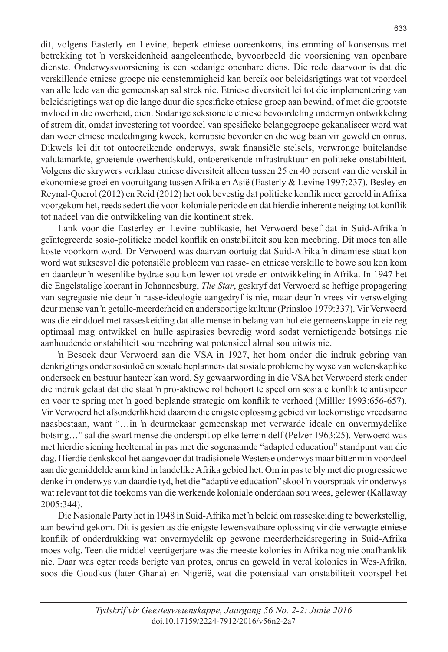dit, volgens Easterly en Levine, beperk etniese ooreenkoms, instemming of konsensus met betrekking tot 'n verskeidenheid aangeleenthede, byvoorbeeld die voorsiening van openbare dienste. Onderwysvoorsiening is een sodanige openbare diens. Die rede daarvoor is dat die verskillende etniese groepe nie eenstemmigheid kan bereik oor beleidsrigtings wat tot voordeel van alle lede van die gemeenskap sal strek nie. Etniese diversiteit lei tot die implementering van beleidsrigtings wat op die lange duur die spesifieke etniese groep aan bewind, of met die grootste invloed in die owerheid, dien. Sodanige seksionele etniese bevoordeling ondermyn ontwikkeling of strem dit, omdat investering tot voordeel van spesifieke belangegroepe gekanaliseer word wat dan weer etniese mededinging kweek, korrupsie bevorder en die weg baan vir geweld en onrus. Dikwels lei dit tot ontoereikende onderwys, swak finansiële stelsels, verwronge buitelandse valutamarkte, groeiende owerheidskuld, ontoereikende infrastruktuur en politieke onstabiliteit. Volgens die skrywers verklaar etniese diversiteit alleen tussen 25 en 40 persent van die verskil in ekonomiese groei en vooruitgang tussen Afrika en Asië (Easterly & Levine 1997:237). Besley en Reynal-Querol (2012) en Reid (2012) het ook bevestig dat politieke konflik meer gereeld in Afrika voorgekom het, reeds sedert die voor-koloniale periode en dat hierdie inherente neiging tot konflik tot nadeel van die ontwikkeling van die kontinent strek.

Lank voor die Easterley en Levine publikasie, het Verwoerd besef dat in Suid-Afrika 'n geïntegreerde sosio-politieke model konflik en onstabiliteit sou kon meebring. Dit moes ten alle koste voorkom word. Dr Verwoerd was daarvan oortuig dat Suid-Afrika 'n dinamiese staat kon word wat suksesvol die potensiële probleem van rasse- en etniese verskille te bowe sou kon kom en daardeur 'n wesenlike bydrae sou kon lewer tot vrede en ontwikkeling in Afrika. In 1947 het die Engelstalige koerant in Johannesburg, *The Star*, geskryf dat Verwoerd se heftige propagering van segregasie nie deur 'n rasse-ideologie aangedryf is nie, maar deur 'n vrees vir verswelging deur mense van 'n getalle-meerderheid en andersoortige kultuur (Prinsloo 1979:337). Vir Verwoerd was die einddoel met rasseskeiding dat alle mense in belang van hul eie gemeenskappe in eie reg optimaal mag ontwikkel en hulle aspirasies bevredig word sodat vernietigende botsings nie aanhoudende onstabiliteit sou meebring wat potensieel almal sou uitwis nie.

'n Besoek deur Verwoerd aan die VSA in 1927, het hom onder die indruk gebring van denkrigtings onder sosioloë en sosiale beplanners dat sosiale probleme by wyse van wetenskaplike ondersoek en bestuur hanteer kan word. Sy gewaarwording in die VSA het Verwoerd sterk onder die indruk gelaat dat die staat 'n pro-aktiewe rol behoort te speel om sosiale konflik te antisipeer en voor te spring met 'n goed beplande strategie om konflik te verhoed (Milller 1993:656-657). Vir Verwoerd het afsonderlikheid daarom die enigste oplossing gebied vir toekomstige vreedsame naasbestaan, want "…in 'n deurmekaar gemeenskap met verwarde ideale en onvermydelike botsing…" sal die swart mense die onderspit op elke terrein delf (Pelzer 1963:25). Verwoerd was met hierdie siening heeltemal in pas met die sogenaamde "adapted education" standpunt van die dag. Hierdie denkskool het aangevoer dat tradisionele Westerse onderwys maar bitter min voordeel aan die gemiddelde arm kind in landelike Afrika gebied het. Om in pas te bly met die progressiewe denke in onderwys van daardie tyd, het die "adaptive education" skool 'n voorspraak vir onderwys wat relevant tot die toekoms van die werkende koloniale onderdaan sou wees, gelewer (Kallaway 2005:344).

Die Nasionale Party het in 1948 in Suid-Afrika met 'n beleid om rasseskeiding te bewerkstellig, aan bewind gekom. Dit is gesien as die enigste lewensvatbare oplossing vir die verwagte etniese konflik of onderdrukking wat onvermydelik op gewone meerderheidsregering in Suid-Afrika moes volg. Teen die middel veertigerjare was die meeste kolonies in Afrika nog nie onafhanklik nie. Daar was egter reeds berigte van protes, onrus en geweld in veral kolonies in Wes-Afrika, soos die Goudkus (later Ghana) en Nigerië, wat die potensiaal van onstabiliteit voorspel het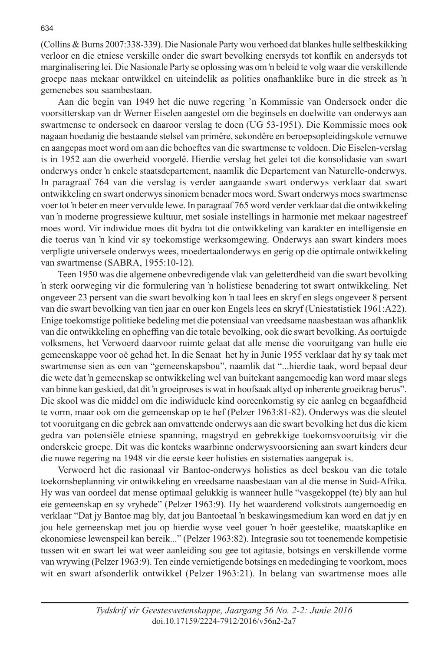(Collins & Burns 2007:338-339). Die Nasionale Party wou verhoed dat blankes hulle selfbeskikking verloor en die etniese verskille onder die swart bevolking enersyds tot konflik en andersyds tot marginalisering lei. Die Nasionale Party se oplossing was om 'n beleid te volg waar die verskillende groepe naas mekaar ontwikkel en uiteindelik as polities onafhanklike bure in die streek as 'n gemenebes sou saambestaan.

Aan die begin van 1949 het die nuwe regering 'n Kommissie van Ondersoek onder die voorsitterskap van dr Werner Eiselen aangestel om die beginsels en doelwitte van onderwys aan swartmense te ondersoek en daaroor verslag te doen (UG 53-1951). Die Kommissie moes ook nagaan hoedanig die bestaande stelsel van primêre, sekondêre en beroepsopleidingskole vernuwe en aangepas moet word om aan die behoeftes van die swartmense te voldoen. Die Eiselen-verslag is in 1952 aan die owerheid voorgelê. Hierdie verslag het gelei tot die konsolidasie van swart onderwys onder 'n enkele staatsdepartement, naamlik die Departement van Naturelle-onderwys. In paragraaf 764 van die verslag is verder aangaande swart onderwys verklaar dat swart ontwikkeling en swart onderwys sinoniem benader moes word. Swart onderwys moes swartmense voer tot 'n beter en meer vervulde lewe. In paragraaf 765 word verder verklaar dat die ontwikkeling van 'n moderne progressiewe kultuur, met sosiale instellings in harmonie met mekaar nagestreef moes word. Vir indiwidue moes dit bydra tot die ontwikkeling van karakter en intelligensie en die toerus van 'n kind vir sy toekomstige werksomgewing. Onderwys aan swart kinders moes verpligte universele onderwys wees, moedertaalonderwys en gerig op die optimale ontwikkeling van swartmense (SABRA, 1955:10-12).

Teen 1950 was die algemene onbevredigende vlak van geletterdheid van die swart bevolking 'n sterk oorweging vir die formulering van 'n holistiese benadering tot swart ontwikkeling. Net ongeveer 23 persent van die swart bevolking kon 'n taal lees en skryf en slegs ongeveer 8 persent van die swart bevolking van tien jaar en ouer kon Engels lees en skryf (Uniestatistiek 1961:A22). Enige toekomstige politieke bedeling met die potensiaal van vreedsame naasbestaan was afhanklik van die ontwikkeling en opheffing van die totale bevolking, ook die swart bevolking. As oortuigde volksmens, het Verwoerd daarvoor ruimte gelaat dat alle mense die vooruitgang van hulle eie gemeenskappe voor oë gehad het. In die Senaat het hy in Junie 1955 verklaar dat hy sy taak met swartmense sien as een van "gemeenskapsbou", naamlik dat "...hierdie taak, word bepaal deur die wete dat 'n gemeenskap se ontwikkeling wel van buitekant aangemoedig kan word maar slegs van binne kan geskied, dat dit 'n groeiproses is wat in hoofsaak altyd op inherente groeikrag berus". Die skool was die middel om die indiwiduele kind ooreenkomstig sy eie aanleg en begaafdheid te vorm, maar ook om die gemeenskap op te hef (Pelzer 1963:81-82). Onderwys was die sleutel tot vooruitgang en die gebrek aan omvattende onderwys aan die swart bevolking het dus die kiem gedra van potensiële etniese spanning, magstryd en gebrekkige toekomsvooruitsig vir die onderskeie groepe. Dit was die konteks waarbinne onderwysvoorsiening aan swart kinders deur die nuwe regering na 1948 vir die eerste keer holisties en sistematies aangepak is.

Verwoerd het die rasionaal vir Bantoe-onderwys holisties as deel beskou van die totale toekomsbeplanning vir ontwikkeling en vreedsame naasbestaan van al die mense in Suid-Afrika. Hy was van oordeel dat mense optimaal gelukkig is wanneer hulle "vasgekoppel (te) bly aan hul eie gemeenskap en sy vryhede" (Pelzer 1963:9). Hy het waarderend volkstrots aangemoedig en verklaar "Dat jy Bantoe mag bly, dat jou Bantoetaal 'n beskawingsmedium kan word en dat jy en jou hele gemeenskap met jou op hierdie wyse veel gouer 'n hoër geestelike, maatskaplike en ekonomiese lewenspeil kan bereik..." (Pelzer 1963:82). Integrasie sou tot toenemende kompetisie tussen wit en swart lei wat weer aanleiding sou gee tot agitasie, botsings en verskillende vorme van wrywing (Pelzer 1963:9). Ten einde vernietigende botsings en mededinging te voorkom, moes wit en swart afsonderlik ontwikkel (Pelzer 1963:21). In belang van swartmense moes alle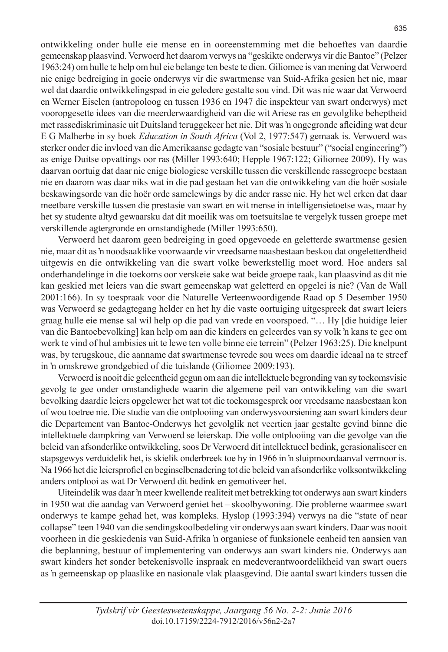ontwikkeling onder hulle eie mense en in ooreenstemming met die behoeftes van daardie gemeenskap plaasvind. Verwoerd het daarom verwys na "geskikte onderwys vir die Bantoe" (Pelzer 1963:24) om hulle te help om hul eie belange ten beste te dien. Giliomee is van mening dat Verwoerd nie enige bedreiging in goeie onderwys vir die swartmense van Suid-Afrika gesien het nie, maar wel dat daardie ontwikkelingspad in eie geledere gestalte sou vind. Dit was nie waar dat Verwoerd en Werner Eiselen (antropoloog en tussen 1936 en 1947 die inspekteur van swart onderwys) met vooropgesette idees van die meerderwaardigheid van die wit Ariese ras en gevolglike beheptheid met rassediskriminasie uit Duitsland teruggekeer het nie. Dit was 'n ongegronde afleiding wat deur E G Malherbe in sy boek *Education in South Africa* (Vol 2, 1977:547) gemaak is. Verwoerd was sterker onder die invloed van die Amerikaanse gedagte van "sosiale bestuur" ("social engineering") as enige Duitse opvattings oor ras (Miller 1993:640; Hepple 1967:122; Giliomee 2009). Hy was daarvan oortuig dat daar nie enige biologiese verskille tussen die verskillende rassegroepe bestaan nie en daarom was daar niks wat in die pad gestaan het van die ontwikkeling van die hoër sosiale beskawingsorde van die hoër orde samelewings by die ander rasse nie. Hy het wel erken dat daar meetbare verskille tussen die prestasie van swart en wit mense in intelligensietoetse was, maar hy het sy studente altyd gewaarsku dat dit moeilik was om toetsuitslae te vergelyk tussen groepe met verskillende agtergronde en omstandighede (Miller 1993:650).

Verwoerd het daarom geen bedreiging in goed opgevoede en geletterde swartmense gesien nie, maar dit as 'n noodsaaklike voorwaarde vir vreedsame naasbestaan beskou dat ongeletterdheid uitgewis en die ontwikkeling van die swart volke bewerkstellig moet word. Hoe anders sal onderhandelinge in die toekoms oor verskeie sake wat beide groepe raak, kan plaasvind as dit nie kan geskied met leiers van die swart gemeenskap wat geletterd en opgelei is nie? (Van de Wall 2001:166). In sy toespraak voor die Naturelle Verteenwoordigende Raad op 5 Desember 1950 was Verwoerd se gedagtegang helder en het hy die vaste oortuiging uitgespreek dat swart leiers graag hulle eie mense sal wil help op die pad van vrede en voorspoed. "… Hy [die huidige leier van die Bantoebevolking] kan help om aan die kinders en geleerdes van sy volk 'n kans te gee om werk te vind of hul ambisies uit te lewe ten volle binne eie terrein" (Pelzer 1963:25). Die knelpunt was, by terugskoue, die aanname dat swartmense tevrede sou wees om daardie ideaal na te streef in 'n omskrewe grondgebied of die tuislande (Giliomee 2009:193).

Verwoerd is nooit die geleentheid gegun om aan die intellektuele begronding van sy toekomsvisie gevolg te gee onder omstandighede waarin die algemene peil van ontwikkeling van die swart bevolking daardie leiers opgelewer het wat tot die toekomsgesprek oor vreedsame naasbestaan kon of wou toetree nie. Die studie van die ontplooiing van onderwysvoorsiening aan swart kinders deur die Departement van Bantoe-Onderwys het gevolglik net veertien jaar gestalte gevind binne die intellektuele dampkring van Verwoerd se leierskap. Die volle ontplooiing van die gevolge van die beleid van afsonderlike ontwikkeling, soos Dr Verwoerd dit intellektueel bedink, gerasionaliseer en stapsgewys verduidelik het, is skielik onderbreek toe hy in 1966 in 'n sluipmoordaanval vermoor is. Na 1966 het die leiersprofiel en beginselbenadering tot die beleid van afsonderlike volksontwikkeling anders ontplooi as wat Dr Verwoerd dit bedink en gemotiveer het.

Uiteindelik was daar 'n meer kwellende realiteit met betrekking tot onderwys aan swart kinders in 1950 wat die aandag van Verwoerd geniet het – skoolbywoning. Die probleme waarmee swart onderwys te kampe gehad het, was kompleks. Hyslop (1993:394) verwys na die "state of near collapse" teen 1940 van die sendingskoolbedeling vir onderwys aan swart kinders. Daar was nooit voorheen in die geskiedenis van Suid-Afrika 'n organiese of funksionele eenheid ten aansien van die beplanning, bestuur of implementering van onderwys aan swart kinders nie. Onderwys aan swart kinders het sonder betekenisvolle inspraak en medeverantwoordelikheid van swart ouers as 'n gemeenskap op plaaslike en nasionale vlak plaasgevind. Die aantal swart kinders tussen die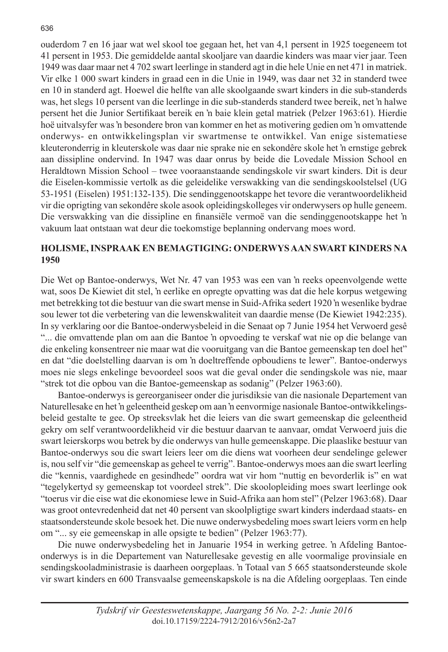ouderdom 7 en 16 jaar wat wel skool toe gegaan het, het van 4,1 persent in 1925 toegeneem tot 41 persent in 1953. Die gemiddelde aantal skooljare van daardie kinders was maar vier jaar. Teen 1949 was daar maar net 4 702 swart leerlinge in standerd agt in die hele Unie en net 471 in matriek. Vir elke 1 000 swart kinders in graad een in die Unie in 1949, was daar net 32 in standerd twee en 10 in standerd agt. Hoewel die helfte van alle skoolgaande swart kinders in die sub-standerds was, het slegs 10 persent van die leerlinge in die sub-standerds standerd twee bereik, net 'n halwe persent het die Junior Sertifikaat bereik en 'n baie klein getal matriek (Pelzer 1963:61). Hierdie hoë uitvalsyfer was 'n besondere bron van kommer en het as motivering gedien om 'n omvattende onderwys- en ontwikkelingsplan vir swartmense te ontwikkel. Van enige sistematiese kleuteronderrig in kleuterskole was daar nie sprake nie en sekondêre skole het 'n ernstige gebrek aan dissipline ondervind. In 1947 was daar onrus by beide die Lovedale Mission School en Heraldtown Mission School – twee vooraanstaande sendingskole vir swart kinders. Dit is deur die Eiselen-kommissie vertolk as die geleidelike verswakking van die sendingskoolstelsel (UG 53-1951 (Eiselen) 1951:132-135). Die sendinggenootskappe het tevore die verantwoordelikheid vir die oprigting van sekondêre skole asook opleidingskolleges vir onderwysers op hulle geneem. Die verswakking van die dissipline en finansiële vermoë van die sendinggenootskappe het 'n vakuum laat ontstaan wat deur die toekomstige beplanning ondervang moes word.

#### **HOLISME, INSPRAAK EN BEMAGTIGING: ONDERWYS AAN SWART KINDERS NA 1950**

Die Wet op Bantoe-onderwys, Wet Nr. 47 van 1953 was een van 'n reeks opeenvolgende wette wat, soos De Kiewiet dit stel, 'n eerlike en opregte opvatting was dat die hele korpus wetgewing met betrekking tot die bestuur van die swart mense in Suid-Afrika sedert 1920 'n wesenlike bydrae sou lewer tot die verbetering van die lewenskwaliteit van daardie mense (De Kiewiet 1942:235). In sy verklaring oor die Bantoe-onderwysbeleid in die Senaat op 7 Junie 1954 het Verwoerd gesê "... die omvattende plan om aan die Bantoe 'n opvoeding te verskaf wat nie op die belange van die enkeling konsentreer nie maar wat die vooruitgang van die Bantoe gemeenskap ten doel het" en dat "die doelstelling daarvan is om 'n doeltreffende opboudiens te lewer". Bantoe-onderwys moes nie slegs enkelinge bevoordeel soos wat die geval onder die sendingskole was nie, maar "strek tot die opbou van die Bantoe-gemeenskap as sodanig" (Pelzer 1963:60).

Bantoe-onderwys is gereorganiseer onder die jurisdiksie van die nasionale Departement van Naturellesake en het 'n geleentheid geskep om aan 'n eenvormige nasionale Bantoe-ontwikkelingsbeleid gestalte te gee. Op streeksvlak het die leiers van die swart gemeenskap die geleentheid gekry om self verantwoordelikheid vir die bestuur daarvan te aanvaar, omdat Verwoerd juis die swart leierskorps wou betrek by die onderwys van hulle gemeenskappe. Die plaaslike bestuur van Bantoe-onderwys sou die swart leiers leer om die diens wat voorheen deur sendelinge gelewer is, nou self vir "die gemeenskap as geheel te verrig". Bantoe-onderwys moes aan die swart leerling die "kennis, vaardighede en gesindhede" oordra wat vir hom "nuttig en bevorderlik is" en wat "tegelykertyd sy gemeenskap tot voordeel strek". Die skoolopleiding moes swart leerlinge ook "toerus vir die eise wat die ekonomiese lewe in Suid-Afrika aan hom stel" (Pelzer 1963:68). Daar was groot ontevredenheid dat net 40 persent van skoolpligtige swart kinders inderdaad staats- en staatsondersteunde skole besoek het. Die nuwe onderwysbedeling moes swart leiers vorm en help om "... sy eie gemeenskap in alle opsigte te bedien" (Pelzer 1963:77).

Die nuwe onderwysbedeling het in Januarie 1954 in werking getree. 'n Afdeling Bantoeonderwys is in die Departement van Naturellesake gevestig en alle voormalige provinsiale en sendingskooladministrasie is daarheen oorgeplaas. 'n Totaal van 5 665 staatsondersteunde skole vir swart kinders en 600 Transvaalse gemeenskapskole is na die Afdeling oorgeplaas. Ten einde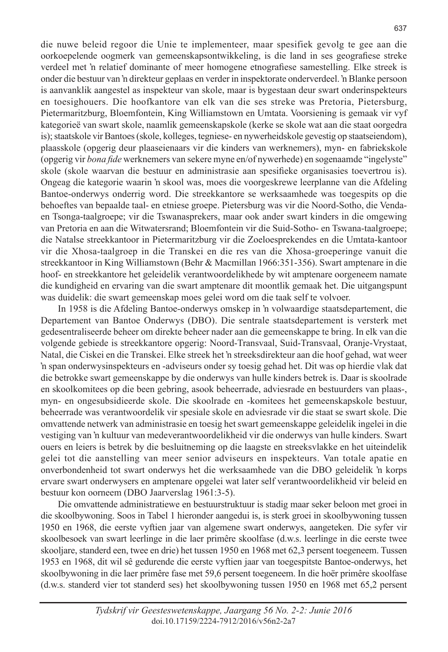die nuwe beleid regoor die Unie te implementeer, maar spesifiek gevolg te gee aan die oorkoepelende oogmerk van gemeenskapsontwikkeling, is die land in ses geografiese streke verdeel met 'n relatief dominante of meer homogene etnografiese samestelling. Elke streek is onder die bestuur van 'n direkteur geplaas en verder in inspektorate onderverdeel. 'n Blanke persoon is aanvanklik aangestel as inspekteur van skole, maar is bygestaan deur swart onderinspekteurs en toesighouers. Die hoofkantore van elk van die ses streke was Pretoria, Pietersburg, Pietermaritzburg, Bloemfontein, King Williamstown en Umtata. Voorsiening is gemaak vir vyf kategorieë van swart skole, naamlik gemeenskapskole (kerke se skole wat aan die staat oorgedra is); staatskole vir Bantoes (skole, kolleges, tegniese- en nywerheidskole gevestig op staatseiendom), plaasskole (opgerig deur plaaseienaars vir die kinders van werknemers), myn- en fabriekskole (opgerig vir *bona fide* werknemers van sekere myne en/of nywerhede) en sogenaamde "ingelyste" skole (skole waarvan die bestuur en administrasie aan spesifieke organisasies toevertrou is). Ongeag die kategorie waarin 'n skool was, moes die voorgeskrewe leerplanne van die Afdeling Bantoe-onderwys onderrig word. Die streekkantore se werksaamhede was toegespits op die behoeftes van bepaalde taal- en etniese groepe. Pietersburg was vir die Noord-Sotho, die Vendaen Tsonga-taalgroepe; vir die Tswanasprekers, maar ook ander swart kinders in die omgewing van Pretoria en aan die Witwatersrand; Bloemfontein vir die Suid-Sotho- en Tswana-taalgroepe; die Natalse streekkantoor in Pietermaritzburg vir die Zoeloesprekendes en die Umtata-kantoor vir die Xhosa-taalgroep in die Transkei en die res van die Xhosa-groeperinge vanuit die streekkantoor in King Williamstown (Behr & Macmillan 1966:351-356). Swart amptenare in die hoof- en streekkantore het geleidelik verantwoordelikhede by wit amptenare oorgeneem namate die kundigheid en ervaring van die swart amptenare dit moontlik gemaak het. Die uitgangspunt was duidelik: die swart gemeenskap moes gelei word om die taak self te volvoer.

In 1958 is die Afdeling Bantoe-onderwys omskep in 'n volwaardige staatsdepartement, die Departement van Bantoe Onderwys (DBO). Die sentrale staatsdepartement is versterk met gedesentraliseerde beheer om direkte beheer nader aan die gemeenskappe te bring. In elk van die volgende gebiede is streekkantore opgerig: Noord-Transvaal, Suid-Transvaal, Oranje-Vrystaat, Natal, die Ciskei en die Transkei. Elke streek het 'n streeksdirekteur aan die hoof gehad, wat weer 'n span onderwysinspekteurs en -adviseurs onder sy toesig gehad het. Dit was op hierdie vlak dat die betrokke swart gemeenskappe by die onderwys van hulle kinders betrek is. Daar is skoolrade en skoolkomitees op die been gebring, asook beheerrade, adviesrade en bestuurders van plaas-, myn- en ongesubsidieerde skole. Die skoolrade en -komitees het gemeenskapskole bestuur, beheerrade was verantwoordelik vir spesiale skole en adviesrade vir die staat se swart skole. Die omvattende netwerk van administrasie en toesig het swart gemeenskappe geleidelik ingelei in die vestiging van 'n kultuur van medeverantwoordelikheid vir die onderwys van hulle kinders. Swart ouers en leiers is betrek by die besluitneming op die laagste en streeksvlakke en het uiteindelik gelei tot die aanstelling van meer senior adviseurs en inspekteurs. Van totale apatie en onverbondenheid tot swart onderwys het die werksaamhede van die DBO geleidelik 'n korps ervare swart onderwysers en amptenare opgelei wat later self verantwoordelikheid vir beleid en bestuur kon oorneem (DBO Jaarverslag 1961:3-5).

Die omvattende administratiewe en bestuurstruktuur is stadig maar seker beloon met groei in die skoolbywoning. Soos in Tabel 1 hieronder aangedui is, is sterk groei in skoolbywoning tussen 1950 en 1968, die eerste vyftien jaar van algemene swart onderwys, aangeteken. Die syfer vir skoolbesoek van swart leerlinge in die laer primêre skoolfase (d.w.s. leerlinge in die eerste twee skooljare, standerd een, twee en drie) het tussen 1950 en 1968 met 62,3 persent toegeneem. Tussen 1953 en 1968, dit wil sê gedurende die eerste vyftien jaar van toegespitste Bantoe-onderwys, het skoolbywoning in die laer primêre fase met 59,6 persent toegeneem. In die hoër primêre skoolfase (d.w.s. standerd vier tot standerd ses) het skoolbywoning tussen 1950 en 1968 met 65,2 persent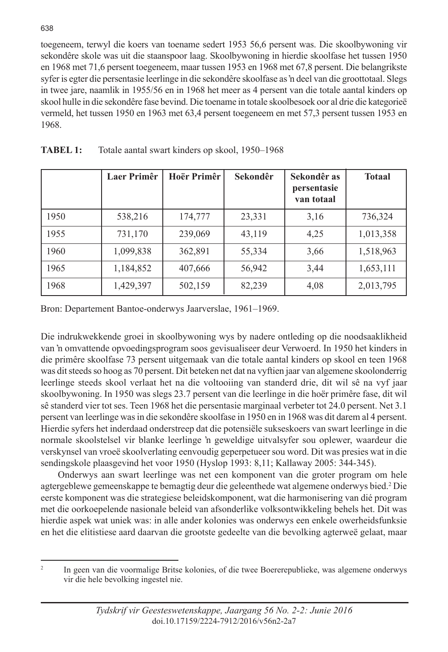toegeneem, terwyl die koers van toename sedert 1953 56,6 persent was. Die skoolbywoning vir sekondêre skole was uit die staanspoor laag. Skoolbywoning in hierdie skoolfase het tussen 1950 en 1968 met 71,6 persent toegeneem, maar tussen 1953 en 1968 met 67,8 persent. Die belangrikste syfer is egter die persentasie leerlinge in die sekondêre skoolfase as 'n deel van die groottotaal. Slegs in twee jare, naamlik in 1955/56 en in 1968 het meer as 4 persent van die totale aantal kinders op skool hulle in die sekondêre fase bevind. Die toename in totale skoolbesoek oor al drie die kategorieë vermeld, het tussen 1950 en 1963 met 63,4 persent toegeneem en met 57,3 persent tussen 1953 en 1968.

|      | Laer Primêr | Hoër Primêr | Sekondêr | Sekondêr as<br>persentasie<br>van totaal | <b>Totaal</b> |
|------|-------------|-------------|----------|------------------------------------------|---------------|
| 1950 | 538,216     | 174,777     | 23,331   | 3,16                                     | 736,324       |
| 1955 | 731,170     | 239,069     | 43,119   | 4,25                                     | 1,013,358     |
| 1960 | 1,099,838   | 362,891     | 55,334   | 3,66                                     | 1,518,963     |
| 1965 | 1,184,852   | 407,666     | 56,942   | 3,44                                     | 1,653,111     |
| 1968 | 1,429,397   | 502,159     | 82,239   | 4,08                                     | 2,013,795     |

| Totale aantal swart kinders op skool, 1950–1968 |
|-------------------------------------------------|
|-------------------------------------------------|

Bron: Departement Bantoe-onderwys Jaarverslae, 1961–1969.

Die indrukwekkende groei in skoolbywoning wys by nadere ontleding op die noodsaaklikheid van 'n omvattende opvoedingsprogram soos gevisualiseer deur Verwoerd. In 1950 het kinders in die primêre skoolfase 73 persent uitgemaak van die totale aantal kinders op skool en teen 1968 was dit steeds so hoog as 70 persent. Dit beteken net dat na vyftien jaar van algemene skoolonderrig leerlinge steeds skool verlaat het na die voltooiing van standerd drie, dit wil sê na vyf jaar skoolbywoning. In 1950 was slegs 23.7 persent van die leerlinge in die hoër primêre fase, dit wil sê standerd vier tot ses. Teen 1968 het die persentasie marginaal verbeter tot 24.0 persent. Net 3.1 persent van leerlinge was in die sekondêre skoolfase in 1950 en in 1968 was dit darem al 4 persent. Hierdie syfers het inderdaad onderstreep dat die potensiële sukseskoers van swart leerlinge in die normale skoolstelsel vir blanke leerlinge 'n geweldige uitvalsyfer sou oplewer, waardeur die verskynsel van vroeë skoolverlating eenvoudig geperpetueer sou word. Dit was presies wat in die sendingskole plaasgevind het voor 1950 (Hyslop 1993: 8,11; Kallaway 2005: 344-345).

Onderwys aan swart leerlinge was net een komponent van die groter program om hele agtergeblewe gemeenskappe te bemagtig deur die geleenthede wat algemene onderwys bied.2 Die eerste komponent was die strategiese beleidskomponent, wat die harmonisering van dié program met die oorkoepelende nasionale beleid van afsonderlike volksontwikkeling behels het. Dit was hierdie aspek wat uniek was: in alle ander kolonies was onderwys een enkele owerheidsfunksie en het die elitistiese aard daarvan die grootste gedeelte van die bevolking agterweë gelaat, maar

<sup>&</sup>lt;sup>2</sup> In geen van die voormalige Britse kolonies, of die twee Boererepublieke, was algemene onderwys vir die hele bevolking ingestel nie.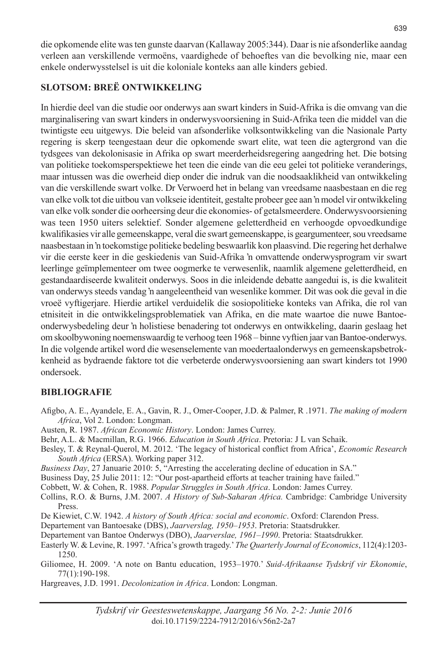die opkomende elite was ten gunste daarvan (Kallaway 2005:344). Daar is nie afsonderlike aandag verleen aan verskillende vermoëns, vaardighede of behoeftes van die bevolking nie, maar een enkele onderwysstelsel is uit die koloniale konteks aan alle kinders gebied.

### **SLOTSOM: BREË ONTWIKKELING**

In hierdie deel van die studie oor onderwys aan swart kinders in Suid-Afrika is die omvang van die marginalisering van swart kinders in onderwysvoorsiening in Suid-Afrika teen die middel van die twintigste eeu uitgewys. Die beleid van afsonderlike volksontwikkeling van die Nasionale Party regering is skerp teengestaan deur die opkomende swart elite, wat teen die agtergrond van die tydsgees van dekolonisasie in Afrika op swart meerderheidsregering aangedring het. Die botsing van politieke toekomsperspektiewe het teen die einde van die eeu gelei tot politieke veranderings, maar intussen was die owerheid diep onder die indruk van die noodsaaklikheid van ontwikkeling van die verskillende swart volke. Dr Verwoerd het in belang van vreedsame naasbestaan en die reg van elke volk tot die uitbou van volkseie identiteit, gestalte probeer gee aan 'n model vir ontwikkeling van elke volk sonder die oorheersing deur die ekonomies- of getalsmeerdere. Onderwysvoorsiening was teen 1950 uiters selektief. Sonder algemene geletterdheid en verhoogde opvoedkundige kwalifikasies vir alle gemeenskappe, veral die swart gemeenskappe, is geargumenteer, sou vreedsame naasbestaan in 'n toekomstige politieke bedeling beswaarlik kon plaasvind. Die regering het derhalwe vir die eerste keer in die geskiedenis van Suid-Afrika 'n omvattende onderwysprogram vir swart leerlinge geïmplementeer om twee oogmerke te verwesenlik, naamlik algemene geletterdheid, en gestandaardiseerde kwaliteit onderwys. Soos in die inleidende debatte aangedui is, is die kwaliteit van onderwys steeds vandag 'n aangeleentheid van wesenlike kommer. Dit was ook die geval in die vroeë vyftigerjare. Hierdie artikel verduidelik die sosiopolitieke konteks van Afrika, die rol van etnisiteit in die ontwikkelingsproblematiek van Afrika, en die mate waartoe die nuwe Bantoeonderwysbedeling deur 'n holistiese benadering tot onderwys en ontwikkeling, daarin geslaag het om skoolbywoning noemenswaardig te verhoog teen 1968 – binne vyftien jaar van Bantoe-onderwys. In die volgende artikel word die wesenselemente van moedertaalonderwys en gemeenskapsbetrokkenheid as bydraende faktore tot die verbeterde onderwysvoorsiening aan swart kinders tot 1990 ondersoek.

## **BIBLIOGRAFIE**

- Afigbo, A. E., Ayandele, E. A., Gavin, R. J., Omer-Cooper, J.D. & Palmer, R .1971. *The making of modern Africa*, Vol 2. London: Longman.
- Austen, R. 1987. *African Economic History*. London: James Currey.
- Behr, A.L. & Macmillan, R.G. 1966. *Education in South Africa*. Pretoria: J L van Schaik.
- Besley, T. & Reynal-Querol, M. 2012. 'The legacy of historical conflict from Africa', *Economic Research South Africa* (ERSA). Working paper 312.
- *Business Day*, 27 Januarie 2010: 5, "Arresting the accelerating decline of education in SA."
- Business Day, 25 Julie 2011: 12: "Our post-apartheid efforts at teacher training have failed."
- Cobbett, W. & Cohen, R. 1988. *Popular Struggles in South Africa*. London: James Currey.
- Collins, R.O. & Burns, J.M. 2007. *A History of Sub-Saharan Africa.* Cambridge: Cambridge University Press.
- De Kiewiet, C.W. 1942. *A history of South Africa: social and economic*. Oxford: Clarendon Press.
- Departement van Bantoesake (DBS), *Jaarverslag, 1950–1953*. Pretoria: Staatsdrukker.
- Departement van Bantoe Onderwys (DBO), *Jaarverslae, 1961–1990*. Pretoria: Staatsdrukker.
- Easterly W. & Levine, R. 1997. 'Africa's growth tragedy.' *The Quarterly Journal of Economics*, 112(4):1203- 1250.
- Giliomee, H. 2009. 'A note on Bantu education, 1953–1970.' *Suid-Afrikaanse Tydskrif vir Ekonomie*, 77(1):190-198.
- Hargreaves, J.D. 1991. *Decolonization in Africa*. London: Longman.